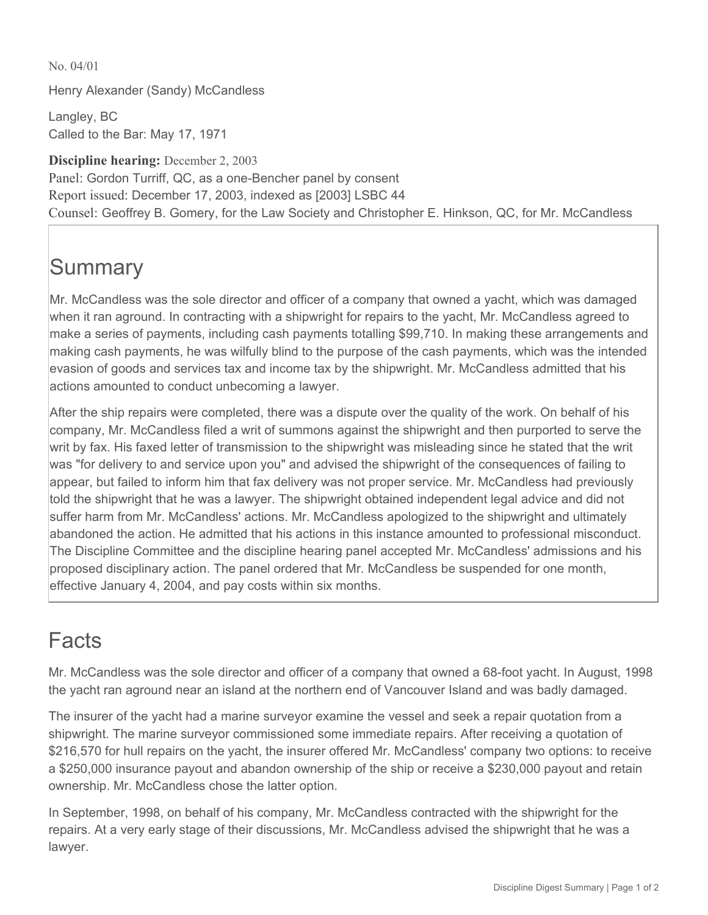No. 04/01

Henry Alexander (Sandy) McCandless

Langley, BC Called to the Bar: May 17, 1971

**Discipline hearing:** December 2, 2003 Panel: Gordon Turriff, QC, as a one-Bencher panel by consent Report issued: December 17, 2003, indexed as [2003] LSBC 44 Counsel: Geoffrey B. Gomery, for the Law Society and Christopher E. Hinkson, QC, for Mr. McCandless

## **Summary**

Mr. McCandless was the sole director and officer of a company that owned a yacht, which was damaged when it ran aground. In contracting with a shipwright for repairs to the yacht, Mr. McCandless agreed to make a series of payments, including cash payments totalling \$99,710. In making these arrangements and making cash payments, he was wilfully blind to the purpose of the cash payments, which was the intended evasion of goods and services tax and income tax by the shipwright. Mr. McCandless admitted that his actions amounted to conduct unbecoming a lawyer.

After the ship repairs were completed, there was a dispute over the quality of the work. On behalf of his company, Mr. McCandless filed a writ of summons against the shipwright and then purported to serve the writ by fax. His faxed letter of transmission to the shipwright was misleading since he stated that the writ was "for delivery to and service upon you" and advised the shipwright of the consequences of failing to appear, but failed to inform him that fax delivery was not proper service. Mr. McCandless had previously told the shipwright that he was a lawyer. The shipwright obtained independent legal advice and did not suffer harm from Mr. McCandless' actions. Mr. McCandless apologized to the shipwright and ultimately abandoned the action. He admitted that his actions in this instance amounted to professional misconduct. The Discipline Committee and the discipline hearing panel accepted Mr. McCandless' admissions and his proposed disciplinary action. The panel ordered that Mr. McCandless be suspended for one month, effective January 4, 2004, and pay costs within six months.

## Facts

Mr. McCandless was the sole director and officer of a company that owned a 68-foot yacht. In August, 1998 the yacht ran aground near an island at the northern end of Vancouver Island and was badly damaged.

The insurer of the yacht had a marine surveyor examine the vessel and seek a repair quotation from a shipwright. The marine surveyor commissioned some immediate repairs. After receiving a quotation of \$216,570 for hull repairs on the yacht, the insurer offered Mr. McCandless' company two options: to receive a \$250,000 insurance payout and abandon ownership of the ship or receive a \$230,000 payout and retain ownership. Mr. McCandless chose the latter option.

In September, 1998, on behalf of his company, Mr. McCandless contracted with the shipwright for the repairs. At a very early stage of their discussions, Mr. McCandless advised the shipwright that he was a lawyer.